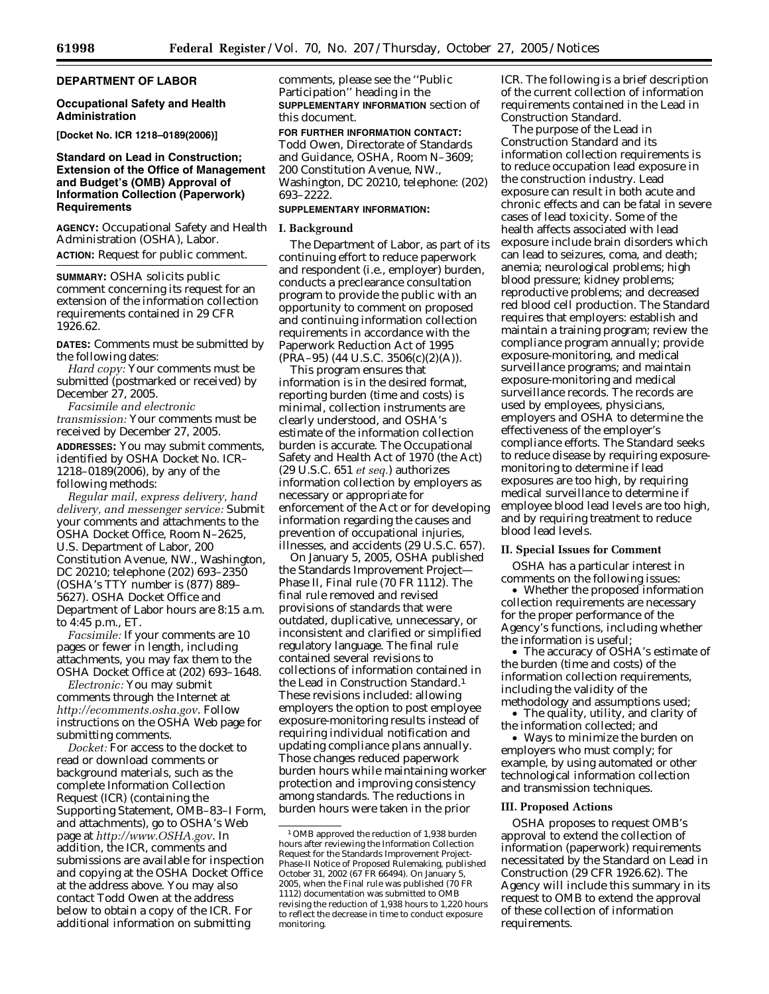# **DEPARTMENT OF LABOR**

## **Occupational Safety and Health Administration**

**[Docket No. ICR 1218–0189(2006)]** 

# **Standard on Lead in Construction; Extension of the Office of Management and Budget's (OMB) Approval of Information Collection (Paperwork) Requirements**

**AGENCY:** Occupational Safety and Health Administration (OSHA), Labor. **ACTION:** Request for public comment.

**SUMMARY:** OSHA solicits public comment concerning its request for an extension of the information collection requirements contained in 29 CFR 1926.62.

**DATES:** Comments must be submitted by the following dates:

*Hard copy:* Your comments must be submitted (postmarked or received) by December 27, 2005.

*Facsimile and electronic transmission:* Your comments must be received by December 27, 2005.

**ADDRESSES:** You may submit comments, identified by OSHA Docket No. ICR– 1218–0189(2006), by any of the following methods:

*Regular mail, express delivery, hand delivery, and messenger service:* Submit your comments and attachments to the OSHA Docket Office, Room N–2625, U.S. Department of Labor, 200 Constitution Avenue, NW., Washington, DC 20210; telephone (202) 693–2350 (OSHA's TTY number is (877) 889– 5627). OSHA Docket Office and Department of Labor hours are 8:15 a.m. to 4:45 p.m., ET.

*Facsimile:* If your comments are 10 pages or fewer in length, including attachments, you may fax them to the OSHA Docket Office at (202) 693–1648.

*Electronic:* You may submit comments through the Internet at *http://ecomments.osha.gov*. Follow instructions on the OSHA Web page for submitting comments.

*Docket:* For access to the docket to read or download comments or background materials, such as the complete Information Collection Request (ICR) (containing the Supporting Statement, OMB–83–I Form, and attachments), go to OSHA's Web page at *http://www.OSHA.gov*. In addition, the ICR, comments and submissions are available for inspection and copying at the OSHA Docket Office at the address above. You may also contact Todd Owen at the address below to obtain a copy of the ICR. For additional information on submitting

comments, please see the ''Public Participation'' heading in the **SUPPLEMENTARY INFORMATION** section of this document.

**FOR FURTHER INFORMATION CONTACT:**  Todd Owen, Directorate of Standards and Guidance, OSHA, Room N–3609; 200 Constitution Avenue, NW., Washington, DC 20210, telephone: (202) 693–2222.

### **SUPPLEMENTARY INFORMATION:**

### **I. Background**

The Department of Labor, as part of its continuing effort to reduce paperwork and respondent (i.e., employer) burden, conducts a preclearance consultation program to provide the public with an opportunity to comment on proposed and continuing information collection requirements in accordance with the Paperwork Reduction Act of 1995  $(PRA-95)$  (44 U.S.C. 3506(c)(2)(A)).

This program ensures that information is in the desired format, reporting burden (time and costs) is minimal, collection instruments are clearly understood, and OSHA's estimate of the information collection burden is accurate. The Occupational Safety and Health Act of 1970 (the Act) (29 U.S.C. 651 *et seq.*) authorizes information collection by employers as necessary or appropriate for enforcement of the Act or for developing information regarding the causes and prevention of occupational injuries, illnesses, and accidents (29 U.S.C. 657).

On January 5, 2005, OSHA published the Standards Improvement Project— Phase II, Final rule (70 FR 1112). The final rule removed and revised provisions of standards that were outdated, duplicative, unnecessary, or inconsistent and clarified or simplified regulatory language. The final rule contained several revisions to collections of information contained in the Lead in Construction Standard.1 These revisions included: allowing employers the option to post employee exposure-monitoring results instead of requiring individual notification and updating compliance plans annually. Those changes reduced paperwork burden hours while maintaining worker protection and improving consistency among standards. The reductions in burden hours were taken in the prior

ICR. The following is a brief description of the current collection of information requirements contained in the Lead in Construction Standard.

The purpose of the Lead in Construction Standard and its information collection requirements is to reduce occupation lead exposure in the construction industry. Lead exposure can result in both acute and chronic effects and can be fatal in severe cases of lead toxicity. Some of the health affects associated with lead exposure include brain disorders which can lead to seizures, coma, and death; anemia; neurological problems; high blood pressure; kidney problems; reproductive problems; and decreased red blood cell production. The Standard requires that employers: establish and maintain a training program; review the compliance program annually; provide exposure-monitoring, and medical surveillance programs; and maintain exposure-monitoring and medical surveillance records. The records are used by employees, physicians, employers and OSHA to determine the effectiveness of the employer's compliance efforts. The Standard seeks to reduce disease by requiring exposuremonitoring to determine if lead exposures are too high, by requiring medical surveillance to determine if employee blood lead levels are too high, and by requiring treatment to reduce blood lead levels.

## **II. Special Issues for Comment**

OSHA has a particular interest in comments on the following issues:

• Whether the proposed information collection requirements are necessary for the proper performance of the Agency's functions, including whether the information is useful;

• The accuracy of OSHA's estimate of the burden (time and costs) of the information collection requirements, including the validity of the methodology and assumptions used;

• The quality, utility, and clarity of the information collected; and

• Ways to minimize the burden on employers who must comply; for example, by using automated or other technological information collection and transmission techniques.

## **III. Proposed Actions**

OSHA proposes to request OMB's approval to extend the collection of information (paperwork) requirements necessitated by the Standard on Lead in Construction (29 CFR 1926.62). The Agency will include this summary in its request to OMB to extend the approval of these collection of information requirements.

<sup>1</sup>OMB approved the reduction of 1,938 burden hours after reviewing the Information Collection Request for the Standards Improvement Project-Phase-II Notice of Proposed Rulemaking, published October 31, 2002 (67 FR 66494). On January 5, 2005, when the Final rule was published (70 FR 1112) documentation was submitted to OMB revising the reduction of 1,938 hours to 1,220 hours to reflect the decrease in time to conduct exposure monitoring.